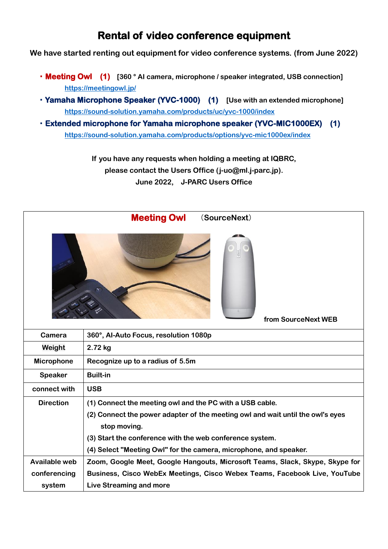## **Rental of video conference equipment**

**We have started renting out equipment for video conference systems. (from June 2022)**

- ・**Meeting Owl (1) [360 ° AI camera, microphone / speaker integrated, USB connection] <https://meetingowl.jp/>**
- ・**Yamaha Microphone Speaker (YVC-1000) (1) [Use with an extended microphone] <https://sound-solution.yamaha.com/products/uc/yvc-1000/index>**
- ・**Extended microphone for Yamaha microphone speaker (YVC-MIC1000EX) (1) <https://sound-solution.yamaha.com/products/options/yvc-mic1000ex/index>**

**If you have any requests when holding a meeting at IQBRC, please contact the Users Office (j-uo@ml.j-parc.jp). June 2022, J-PARC Users Office**